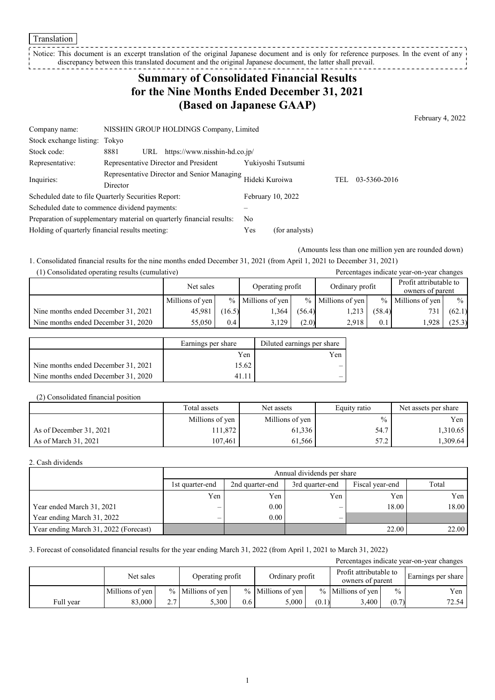Translation

Notice: This document is an excerpt translation of the original Japanese document and is only for reference purposes. In the event of any discrepancy between this translated document and the original Japanese document, the latter shall prevail.

## **Summary of Consolidated Financial Results for the Nine Months Ended December 31, 2021 (Based on Japanese GAAP)**

February 4, 2022

| Company name:                                                               | NISSHIN GROUP HOLDINGS Company, Limited             |                |                    |     |              |  |
|-----------------------------------------------------------------------------|-----------------------------------------------------|----------------|--------------------|-----|--------------|--|
| Stock exchange listing: Tokyo                                               |                                                     |                |                    |     |              |  |
| Stock code:                                                                 | 8881<br>https://www.nisshin-hd.co.jp/<br>URL        |                |                    |     |              |  |
| Representative:                                                             | Representative Director and President               |                | Yukiyoshi Tsutsumi |     |              |  |
| Inquiries:                                                                  | Representative Director and Senior Managing         | Hideki Kuroiwa |                    | TEL | 03-5360-2016 |  |
|                                                                             | Director                                            |                |                    |     |              |  |
|                                                                             | Scheduled date to file Quarterly Securities Report: |                | February 10, 2022  |     |              |  |
|                                                                             | Scheduled date to commence dividend payments:       | —              |                    |     |              |  |
| Preparation of supplementary material on quarterly financial results:<br>No |                                                     |                |                    |     |              |  |
| Holding of quarterly financial results meeting:<br>Yes<br>(for analysts)    |                                                     |                |                    |     |              |  |

(Amounts less than one million yen are rounded down)

1. Consolidated financial results for the nine months ended December 31, 2021 (from April 1, 2021 to December 31, 2021)

| (1) Consolidated operating results (cumulative) |  |  |
|-------------------------------------------------|--|--|
|-------------------------------------------------|--|--|

| (1) Consolidated operating results (cumulative) |                 |                  |                   |                 |                     |                                            | Percentages indicate year-on-year changes |        |
|-------------------------------------------------|-----------------|------------------|-------------------|-----------------|---------------------|--------------------------------------------|-------------------------------------------|--------|
|                                                 | Net sales       | Operating profit |                   | Ordinary profit |                     | Profit attributable to<br>owners of parent |                                           |        |
|                                                 | Millions of yen |                  | % Millions of yen |                 | $%$ Millions of yen |                                            | $%$ Millions of yen                       | $\%$   |
| Nine months ended December 31, 2021             | 45,981          | (16.5)           | 1,364             | (56.4)          | 1,213               | (58.4)                                     | 731                                       | (62.1) |
| Nine months ended December 31, 2020             | 55,050          | 0.4              | 3.129             | (2.0)           | 2.918               | 0.1                                        | 1.928                                     | (25.3) |

|                                     | Earnings per share | Diluted earnings per share |
|-------------------------------------|--------------------|----------------------------|
|                                     | Yen                | Yen                        |
| Nine months ended December 31, 2021 | 15.62              |                            |
| Nine months ended December 31, 2020 |                    |                            |

#### (2) Consolidated financial position

|                         | Total assets    | Net assets      | Equity ratio | Net assets per share |
|-------------------------|-----------------|-----------------|--------------|----------------------|
|                         | Millions of yen | Millions of yen | $\%$         | Yen                  |
| As of December 31, 2021 | 111,872         | 61,336          | 54.7         | 1,310.65             |
| As of March 31, 2021    | 107.461         | 61.566          | 57.2         | 1,309.64             |

#### 2. Cash dividends

|                                       | Annual dividends per share |                                                                |     |       |       |  |  |  |
|---------------------------------------|----------------------------|----------------------------------------------------------------|-----|-------|-------|--|--|--|
|                                       | 1st quarter-end            | Total<br>Fiscal year-end<br>3rd quarter-end<br>2nd quarter-end |     |       |       |  |  |  |
|                                       | Yen                        | Yen                                                            | Yen | Yen   | Yen l |  |  |  |
| Year ended March 31, 2021             | $\overline{\phantom{0}}$   | 0.00                                                           |     | 18.00 | 18.00 |  |  |  |
| Year ending March 31, 2022            | —                          | $0.00 -$                                                       |     |       |       |  |  |  |
| Year ending March 31, 2022 (Forecast) |                            |                                                                |     | 22.00 | 22.00 |  |  |  |

#### 3. Forecast of consolidated financial results for the year ending March 31, 2022 (from April 1, 2021 to March 31, 2022)

| Percentages indicate year-on-year changes |                 |     |                                     |                  |                                            |       |                     |                    |       |
|-------------------------------------------|-----------------|-----|-------------------------------------|------------------|--------------------------------------------|-------|---------------------|--------------------|-------|
|                                           | Net sales       |     | Ordinary profit<br>Operating profit |                  | Profit attributable to<br>owners of parent |       |                     | Earnings per share |       |
|                                           | Millions of yen |     | $%$ Millions of yen                 |                  | $%$ Millions of yen                        |       | $%$ Millions of yen | $\frac{0}{0}$      | Yen   |
| Full year                                 | 83,000          | 2.7 | 5.300                               | 0.6 <sub>1</sub> | 5.000                                      | (0.1) | 3.400               | (0.7)              | 72.54 |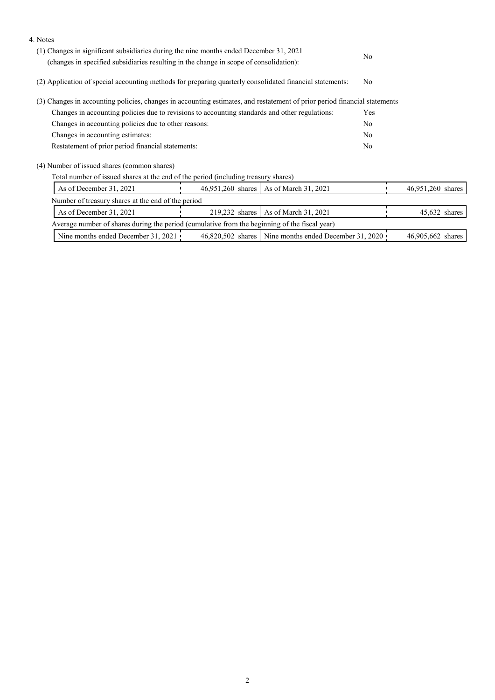| 4. Notes                                                                                                                                                                         |  |                                                         |                   |
|----------------------------------------------------------------------------------------------------------------------------------------------------------------------------------|--|---------------------------------------------------------|-------------------|
| (1) Changes in significant subsidiaries during the nine months ended December 31, 2021<br>(changes in specified subsidiaries resulting in the change in scope of consolidation): |  |                                                         | N <sub>o</sub>    |
| (2) Application of special accounting methods for preparing quarterly consolidated financial statements:                                                                         |  |                                                         | No.               |
| (3) Changes in accounting policies, changes in accounting estimates, and restatement of prior period financial statements                                                        |  |                                                         |                   |
| Changes in accounting policies due to revisions to accounting standards and other regulations:                                                                                   |  | Yes                                                     |                   |
| Changes in accounting policies due to other reasons:                                                                                                                             |  | N <sub>o</sub>                                          |                   |
| Changes in accounting estimates:                                                                                                                                                 |  | N <sub>o</sub>                                          |                   |
| Restatement of prior period financial statements:                                                                                                                                |  |                                                         | N <sub>o</sub>    |
| (4) Number of issued shares (common shares)                                                                                                                                      |  |                                                         |                   |
| Total number of issued shares at the end of the period (including treasury shares)                                                                                               |  |                                                         |                   |
| As of December 31, 2021                                                                                                                                                          |  | 46,951,260 shares   As of March 31, 2021                | 46,951,260 shares |
| Number of treasury shares at the end of the period                                                                                                                               |  |                                                         |                   |
| As of December 31, 2021                                                                                                                                                          |  | 219,232 shares   As of March 31, 2021                   | $45,632$ shares   |
| Average number of shares during the period (cumulative from the beginning of the fiscal year)                                                                                    |  |                                                         |                   |
| Nine months ended December 31, 2021                                                                                                                                              |  | 46,820,502 shares   Nine months ended December 31, 2020 | 46,905,662 shares |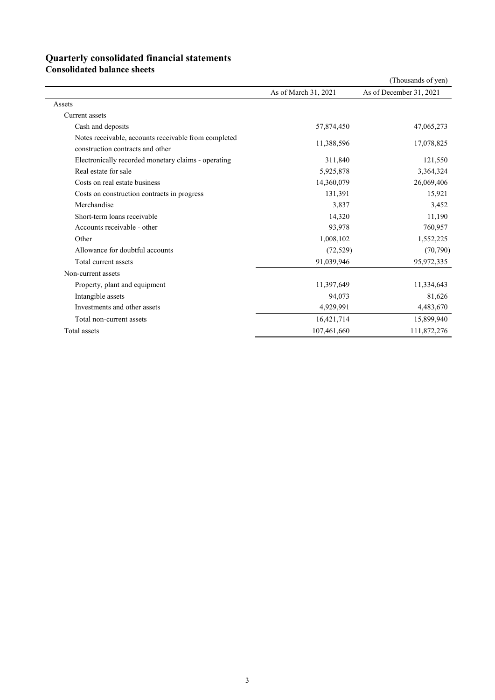# **Quarterly consolidated financial statements**

**Consolidated balance sheets** 

|                                                      |                      | (Thousands of yen)      |
|------------------------------------------------------|----------------------|-------------------------|
|                                                      | As of March 31, 2021 | As of December 31, 2021 |
| Assets                                               |                      |                         |
| Current assets                                       |                      |                         |
| Cash and deposits                                    | 57,874,450           | 47,065,273              |
| Notes receivable, accounts receivable from completed |                      |                         |
| construction contracts and other                     | 11,388,596           | 17,078,825              |
| Electronically recorded monetary claims - operating  | 311,840              | 121,550                 |
| Real estate for sale                                 | 5,925,878            | 3,364,324               |
| Costs on real estate business                        | 14,360,079           | 26,069,406              |
| Costs on construction contracts in progress          | 131,391              | 15,921                  |
| Merchandise                                          | 3,837                | 3,452                   |
| Short-term loans receivable                          | 14,320               | 11,190                  |
| Accounts receivable - other                          | 93,978               | 760,957                 |
| Other                                                | 1,008,102            | 1,552,225               |
| Allowance for doubtful accounts                      | (72, 529)            | (70, 790)               |
| Total current assets                                 | 91,039,946           | 95,972,335              |
| Non-current assets                                   |                      |                         |
| Property, plant and equipment                        | 11,397,649           | 11,334,643              |
| Intangible assets                                    | 94,073               | 81,626                  |
| Investments and other assets                         | 4,929,991            | 4,483,670               |
| Total non-current assets                             | 16,421,714           | 15,899,940              |
| Total assets                                         | 107,461,660          | 111,872,276             |
|                                                      |                      |                         |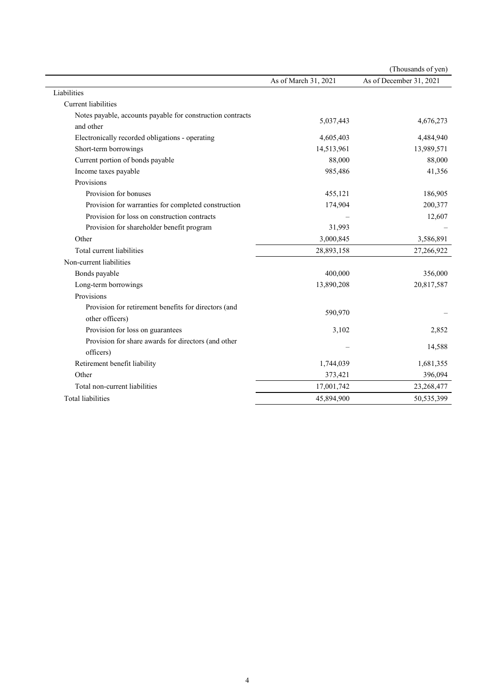|                                                                         |                      | (Thousands of yen)      |
|-------------------------------------------------------------------------|----------------------|-------------------------|
|                                                                         | As of March 31, 2021 | As of December 31, 2021 |
| Liabilities                                                             |                      |                         |
| Current liabilities                                                     |                      |                         |
| Notes payable, accounts payable for construction contracts<br>and other | 5,037,443            | 4,676,273               |
| Electronically recorded obligations - operating                         | 4,605,403            | 4,484,940               |
| Short-term borrowings                                                   | 14,513,961           | 13,989,571              |
| Current portion of bonds payable                                        | 88,000               | 88,000                  |
| Income taxes payable                                                    | 985,486              | 41,356                  |
| Provisions                                                              |                      |                         |
| Provision for bonuses                                                   | 455,121              | 186,905                 |
| Provision for warranties for completed construction                     | 174,904              | 200,377                 |
| Provision for loss on construction contracts                            |                      | 12,607                  |
| Provision for shareholder benefit program                               | 31,993               |                         |
| Other                                                                   | 3,000,845            | 3,586,891               |
| Total current liabilities                                               | 28,893,158           | 27,266,922              |
| Non-current liabilities                                                 |                      |                         |
| Bonds payable                                                           | 400,000              | 356,000                 |
| Long-term borrowings                                                    | 13,890,208           | 20,817,587              |
| Provisions                                                              |                      |                         |
| Provision for retirement benefits for directors (and<br>other officers) | 590,970              |                         |
| Provision for loss on guarantees                                        | 3,102                | 2,852                   |
| Provision for share awards for directors (and other<br>officers)        |                      | 14,588                  |
| Retirement benefit liability                                            | 1,744,039            | 1,681,355               |
| Other                                                                   | 373,421              | 396,094                 |
| Total non-current liabilities                                           | 17,001,742           | 23,268,477              |
| <b>Total liabilities</b>                                                | 45,894,900           | 50,535,399              |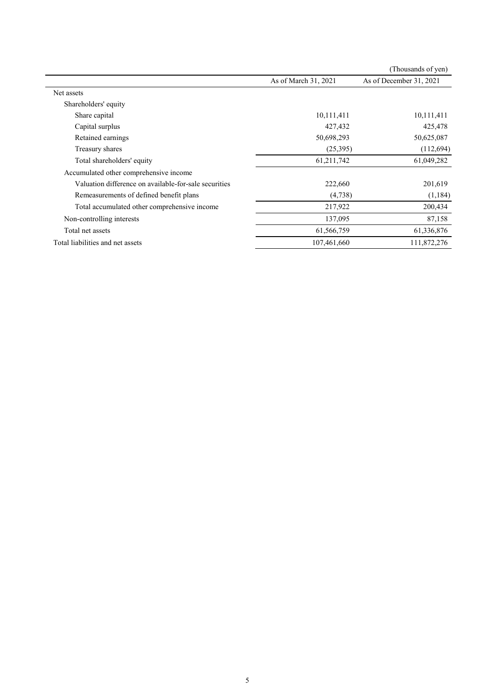|                                                       |                      | (Thousands of yen)      |
|-------------------------------------------------------|----------------------|-------------------------|
|                                                       | As of March 31, 2021 | As of December 31, 2021 |
| Net assets                                            |                      |                         |
| Shareholders' equity                                  |                      |                         |
| Share capital                                         | 10,111,411           | 10,111,411              |
| Capital surplus                                       | 427,432              | 425,478                 |
| Retained earnings                                     | 50,698,293           | 50,625,087              |
| Treasury shares                                       | (25,395)             | (112, 694)              |
| Total shareholders' equity                            | 61,211,742           | 61,049,282              |
| Accumulated other comprehensive income                |                      |                         |
| Valuation difference on available-for-sale securities | 222,660              | 201,619                 |
| Remeasurements of defined benefit plans               | (4,738)              | (1, 184)                |
| Total accumulated other comprehensive income          | 217,922              | 200,434                 |
| Non-controlling interests                             | 137,095              | 87,158                  |
| Total net assets                                      | 61,566,759           | 61,336,876              |
| Total liabilities and net assets                      | 107,461,660          | 111,872,276             |
|                                                       |                      |                         |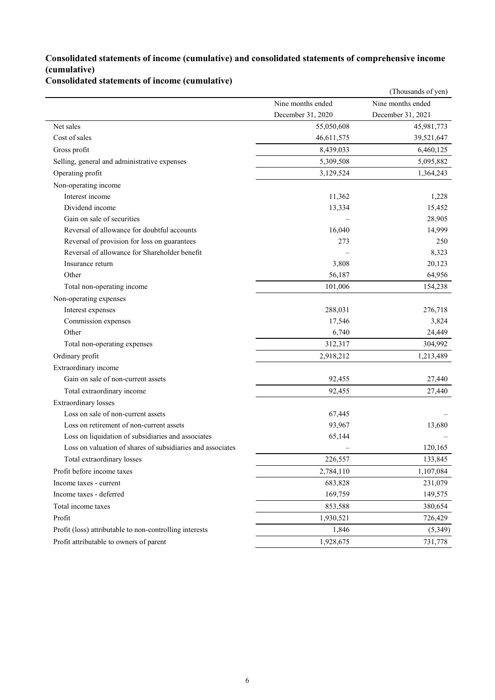### **Consolidated statements of income (cumulative) and consolidated statements of comprehensive income (cumulative)**

### **Consolidated statements of income (cumulative)**

|                                                            |                   | (Thousands of yen) |
|------------------------------------------------------------|-------------------|--------------------|
|                                                            | Nine months ended | Nine months ended  |
|                                                            | December 31, 2020 | December 31, 2021  |
| Net sales                                                  | 55,050,608        | 45,981,773         |
| Cost of sales                                              | 46,611,575        | 39,521,647         |
| Gross profit                                               | 8,439,033         | 6,460,125          |
| Selling, general and administrative expenses               | 5,309,508         | 5,095,882          |
| Operating profit                                           | 3,129,524         | 1,364,243          |
| Non-operating income                                       |                   |                    |
| Interest income                                            | 11,362            | 1,228              |
| Dividend income                                            | 13,334            | 15,452             |
| Gain on sale of securities                                 |                   | 28,905             |
| Reversal of allowance for doubtful accounts                | 16,040            | 14,999             |
| Reversal of provision for loss on guarantees               | 273               | 250                |
| Reversal of allowance for Shareholder benefit              |                   | 8,323              |
| Insurance return                                           | 3,808             | 20,123             |
| Other                                                      | 56,187            | 64,956             |
| Total non-operating income                                 | 101,006           | 154,238            |
| Non-operating expenses                                     |                   |                    |
| Interest expenses                                          | 288,031           | 276,718            |
| Commission expenses                                        | 17,546            | 3,824              |
| Other                                                      | 6,740             | 24,449             |
| Total non-operating expenses                               | 312,317           | 304,992            |
| Ordinary profit                                            | 2,918,212         | 1,213,489          |
| Extraordinary income                                       |                   |                    |
| Gain on sale of non-current assets                         | 92,455            | 27,440             |
| Total extraordinary income                                 | 92,455            | 27,440             |
| <b>Extraordinary</b> losses                                |                   |                    |
| Loss on sale of non-current assets                         | 67,445            |                    |
| Loss on retirement of non-current assets                   | 93,967            | 13,680             |
| Loss on liquidation of subsidiaries and associates         | 65,144            |                    |
| Loss on valuation of shares of subsidiaries and associates |                   | 120,165            |
| Total extraordinary losses                                 | 226,557           | 133,845            |
| Profit before income taxes                                 | 2,784,110         | 1,107,084          |
| Income taxes - current                                     | 683,828           | 231,079            |
| Income taxes - deferred                                    | 169,759           | 149,575            |
| Total income taxes                                         | 853,588           | 380,654            |
| Profit                                                     | 1,930,521         | 726,429            |
| Profit (loss) attributable to non-controlling interests    | 1,846             | (5,349)            |
| Profit attributable to owners of parent                    | 1,928,675         | 731,778            |